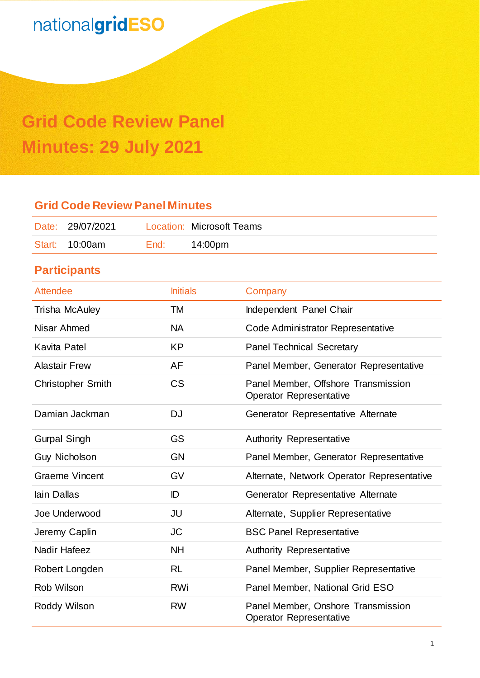# **Grid Code Review Panel Minutes: 29 July 2021**

### **Grid Code Review Panel Minutes**

| Date: 29/07/2021 |      | <b>Location: Microsoft Teams</b> |
|------------------|------|----------------------------------|
| Start: 10:00am   | End: | 14:00pm                          |

## **Participants**

| Attendee                 | <b>Initials</b> | Company                                                              |
|--------------------------|-----------------|----------------------------------------------------------------------|
| <b>Trisha McAuley</b>    | TM              | Independent Panel Chair                                              |
| Nisar Ahmed              | <b>NA</b>       | Code Administrator Representative                                    |
| <b>Kavita Patel</b>      | <b>KP</b>       | <b>Panel Technical Secretary</b>                                     |
| <b>Alastair Frew</b>     | AF              | Panel Member, Generator Representative                               |
| <b>Christopher Smith</b> | <b>CS</b>       | Panel Member, Offshore Transmission<br>Operator Representative       |
| Damian Jackman           | DJ              | Generator Representative Alternate                                   |
| <b>Gurpal Singh</b>      | <b>GS</b>       | Authority Representative                                             |
| <b>Guy Nicholson</b>     | <b>GN</b>       | Panel Member, Generator Representative                               |
| <b>Graeme Vincent</b>    | GV              | Alternate, Network Operator Representative                           |
| lain Dallas              | ID              | Generator Representative Alternate                                   |
| Joe Underwood            | JU              | Alternate, Supplier Representative                                   |
| Jeremy Caplin            | <b>JC</b>       | <b>BSC Panel Representative</b>                                      |
| <b>Nadir Hafeez</b>      | <b>NH</b>       | Authority Representative                                             |
| Robert Longden           | RL              | Panel Member, Supplier Representative                                |
| <b>Rob Wilson</b>        | <b>RWi</b>      | Panel Member, National Grid ESO                                      |
| Roddy Wilson             | <b>RW</b>       | Panel Member, Onshore Transmission<br><b>Operator Representative</b> |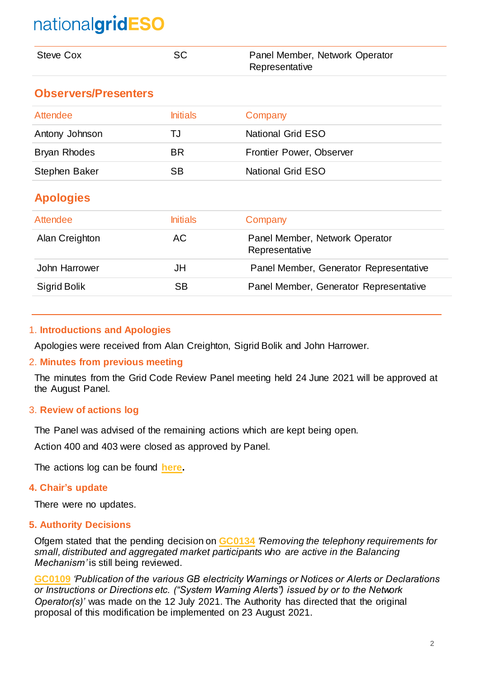| <b>Steve Cox</b>            | <b>SC</b>       | Panel Member, Network Operator<br>Representative |
|-----------------------------|-----------------|--------------------------------------------------|
| <b>Observers/Presenters</b> |                 |                                                  |
| Attendee                    | <b>Initials</b> | Company                                          |
| Antony Johnson              | TJ              | <b>National Grid ESO</b>                         |
| <b>Bryan Rhodes</b>         | BR.             | Frontier Power, Observer                         |
| Stephen Baker               | <b>SB</b>       | <b>National Grid ESO</b>                         |
| <b>Apologies</b>            |                 |                                                  |
| <b>Attendee</b>             | <b>Initials</b> | Company                                          |
| Alan Creighton              | AC.             | Panel Member, Network Operator<br>Representative |
| John Harrower               | JH              | Panel Member, Generator Representative           |
| <b>Sigrid Bolik</b>         | <b>SB</b>       | Panel Member, Generator Representative           |

#### 1. **Introductions and Apologies**

Apologies were received from Alan Creighton, Sigrid Bolik and John Harrower.

#### 2. **Minutes from previous meeting**

The minutes from the Grid Code Review Panel meeting held 24 June 2021 will be approved at the August Panel.

#### 3. **Review of actions log**

The Panel was advised of the remaining actions which are kept being open.

Action 400 and 403 were closed as approved by Panel.

The actions log can be found **[here.](https://www.nationalgrideso.com/document/202951/download)**

#### **4. Chair's update**

There were no updates.

#### **5. Authority Decisions**

Ofgem stated that the pending decision on **[GC0134](https://www.nationalgrideso.com/industry-information/codes/grid-code-old/modifications/gc0134-removing-telephony-requirements-small)** *'Removing the telephony requirements for small, distributed and aggregated market participants who are active in the Balancing Mechanism'* is still being reviewed.

**[GC0109](https://www.nationalgrideso.com/industry-information/codes/grid-code-old/modifications/gc0109-publication-various-gb-electricity)** *'Publication of the various GB electricity Warnings or Notices or Alerts or Declarations or Instructions or Directions etc. ("System Warning Alerts") issued by or to the Network Operator(s)'* was made on the 12 July 2021. The Authority has directed that the original proposal of this modification be implemented on 23 August 2021.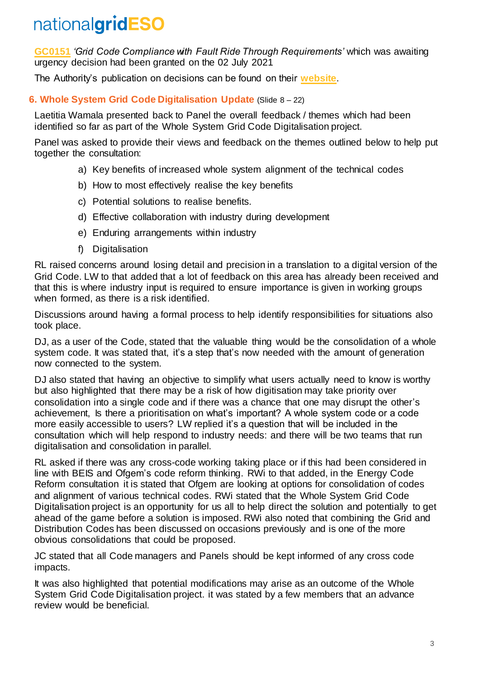**[GC0151](https://www.nationalgrideso.com/industry-information/codes/grid-code-old/modifications/gc0151-grid-code-compliance-fault-ride)** *'Grid Code Compliance with Fault Ride Through Requirements'* which was awaiting urgency decision had been granted on the 02 July 2021

The Authority's publication on decisions can be found on their **[website](https://www.ofgem.gov.uk/system/files/docs/2021/05/edd_table_for_publication_wc_240521_final_clean_v_002.pdf)**.

### **6. Whole System Grid Code Digitalisation Update** (Slide 8 – 22)

Laetitia Wamala presented back to Panel the overall feedback / themes which had been identified so far as part of the Whole System Grid Code Digitalisation project.

Panel was asked to provide their views and feedback on the themes outlined below to help put together the consultation:

- a) Key benefits of increased whole system alignment of the technical codes
- b) How to most effectively realise the key benefits
- c) Potential solutions to realise benefits.
- d) Effective collaboration with industry during development
- e) Enduring arrangements within industry
- f) Digitalisation

RL raised concerns around losing detail and precision in a translation to a digital version of the Grid Code. LW to that added that a lot of feedback on this area has already been received and that this is where industry input is required to ensure importance is given in working groups when formed, as there is a risk identified.

Discussions around having a formal process to help identify responsibilities for situations also took place.

DJ, as a user of the Code, stated that the valuable thing would be the consolidation of a whole system code. It was stated that, it's a step that's now needed with the amount of generation now connected to the system.

DJ also stated that having an objective to simplify what users actually need to know is worthy but also highlighted that there may be a risk of how digitisation may take priority over consolidation into a single code and if there was a chance that one may disrupt the other's achievement, Is there a prioritisation on what's important? A whole system code or a code more easily accessible to users? LW replied it's a question that will be included in the consultation which will help respond to industry needs: and there will be two teams that run digitalisation and consolidation in parallel.

RL asked if there was any cross-code working taking place or if this had been considered in line with BEIS and Ofgem's code reform thinking. RWi to that added, in the Energy Code Reform consultation it is stated that Ofgem are looking at options for consolidation of codes and alignment of various technical codes. RWi stated that the Whole System Grid Code Digitalisation project is an opportunity for us all to help direct the solution and potentially to get ahead of the game before a solution is imposed. RWi also noted that combining the Grid and Distribution Codes has been discussed on occasions previously and is one of the more obvious consolidations that could be proposed.

JC stated that all Code managers and Panels should be kept informed of any cross code impacts.

It was also highlighted that potential modifications may arise as an outcome of the Whole System Grid Code Digitalisation project. it was stated by a few members that an advance review would be beneficial.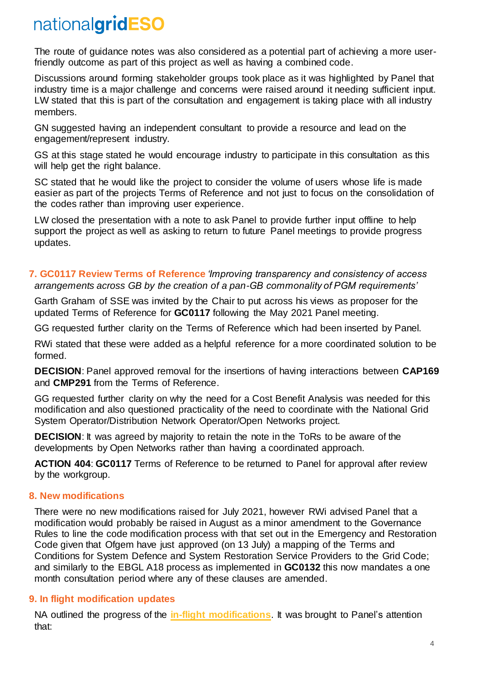The route of guidance notes was also considered as a potential part of achieving a more userfriendly outcome as part of this project as well as having a combined code.

Discussions around forming stakeholder groups took place as it was highlighted by Panel that industry time is a major challenge and concerns were raised around it needing sufficient input. LW stated that this is part of the consultation and engagement is taking place with all industry members.

GN suggested having an independent consultant to provide a resource and lead on the engagement/represent industry.

GS at this stage stated he would encourage industry to participate in this consultation as this will help get the right balance.

SC stated that he would like the project to consider the volume of users whose life is made easier as part of the projects Terms of Reference and not just to focus on the consolidation of the codes rather than improving user experience.

LW closed the presentation with a note to ask Panel to provide further input offline to help support the project as well as asking to return to future Panel meetings to provide progress updates.

#### **7. GC0117 Review Terms of Reference** *'Improving transparency and consistency of access arrangements across GB by the creation of a pan-GB commonality of PGM requirements'*

Garth Graham of SSE was invited by the Chair to put across his views as proposer for the updated Terms of Reference for **GC0117** following the May 2021 Panel meeting.

GG requested further clarity on the Terms of Reference which had been inserted by Panel.

RWi stated that these were added as a helpful reference for a more coordinated solution to be formed.

**DECISION**: Panel approved removal for the insertions of having interactions between **CAP169** and **CMP291** from the Terms of Reference.

GG requested further clarity on why the need for a Cost Benefit Analysis was needed for this modification and also questioned practicality of the need to coordinate with the National Grid System Operator/Distribution Network Operator/Open Networks project.

**DECISION:** It was agreed by majority to retain the note in the ToRs to be aware of the developments by Open Networks rather than having a coordinated approach.

**ACTION 404**: **GC0117** Terms of Reference to be returned to Panel for approval after review by the workgroup.

#### **8. New modifications**

There were no new modifications raised for July 2021, however RWi advised Panel that a modification would probably be raised in August as a minor amendment to the Governance Rules to line the code modification process with that set out in the Emergency and Restoration Code given that Ofgem have just approved (on 13 July) a mapping of the Terms and Conditions for System Defence and System Restoration Service Providers to the Grid Code; and similarly to the EBGL A18 process as implemented in **GC0132** this now mandates a one month consultation period where any of these clauses are amended.

### **9. In flight modification updates**

NA outlined the progress of the **[in-flight modifications](https://www.nationalgrideso.com/document/188476/download)**. It was brought to Panel's attention that: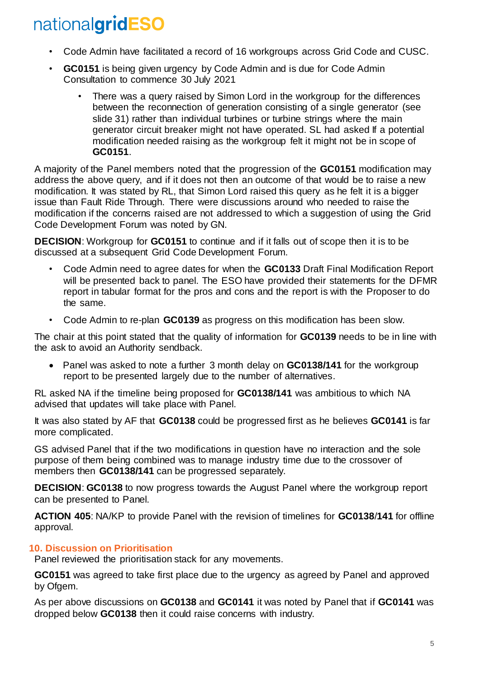- Code Admin have facilitated a record of 16 workgroups across Grid Code and CUSC.
- **GC0151** is being given urgency by Code Admin and is due for Code Admin Consultation to commence 30 July 2021
	- There was a query raised by Simon Lord in the workgroup for the differences between the reconnection of generation consisting of a single generator (see slide 31) rather than individual turbines or turbine strings where the main generator circuit breaker might not have operated. SL had asked If a potential modification needed raising as the workgroup felt it might not be in scope of **GC0151**.

A majority of the Panel members noted that the progression of the **GC0151** modification may address the above query, and if it does not then an outcome of that would be to raise a new modification. It was stated by RL, that Simon Lord raised this query as he felt it is a bigger issue than Fault Ride Through. There were discussions around who needed to raise the modification if the concerns raised are not addressed to which a suggestion of using the Grid Code Development Forum was noted by GN.

**DECISION**: Workgroup for **GC0151** to continue and if it falls out of scope then it is to be discussed at a subsequent Grid Code Development Forum.

- Code Admin need to agree dates for when the **GC0133** Draft Final Modification Report will be presented back to panel. The ESO have provided their statements for the DFMR report in tabular format for the pros and cons and the report is with the Proposer to do the same.
- Code Admin to re-plan **GC0139** as progress on this modification has been slow.

The chair at this point stated that the quality of information for **GC0139** needs to be in line with the ask to avoid an Authority sendback.

• Panel was asked to note a further 3 month delay on **GC0138/141** for the workgroup report to be presented largely due to the number of alternatives.

RL asked NA if the timeline being proposed for **GC0138/141** was ambitious to which NA advised that updates will take place with Panel.

It was also stated by AF that **GC0138** could be progressed first as he believes **GC0141** is far more complicated.

GS advised Panel that if the two modifications in question have no interaction and the sole purpose of them being combined was to manage industry time due to the crossover of members then **GC0138/141** can be progressed separately.

**DECISION**: **GC0138** to now progress towards the August Panel where the workgroup report can be presented to Panel.

**ACTION 405**: NA/KP to provide Panel with the revision of timelines for **GC0138**/**141** for offline approval.

#### **10. Discussion on Prioritisation**

Panel reviewed the prioritisation stack for any movements.

**GC0151** was agreed to take first place due to the urgency as agreed by Panel and approved by Ofgem.

As per above discussions on **GC0138** and **GC0141** it was noted by Panel that if **GC0141** was dropped below **GC0138** then it could raise concerns with industry.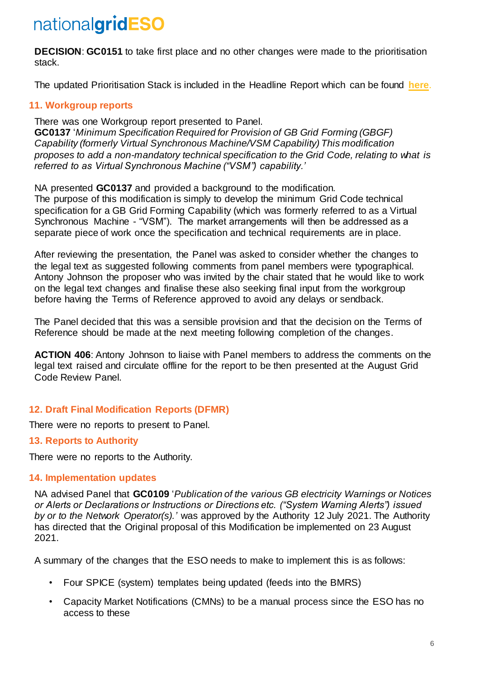**DECISION**: **GC0151** to take first place and no other changes were made to the prioritisation stack.

The updated Prioritisation Stack is included in the Headline Report which can be found **[here](https://www.nationalgrideso.com/document/204211/download)**.

### **11. Workgroup reports**

There was one Workgroup report presented to Panel. **GC0137** '*Minimum Specification Required for Provision of GB Grid Forming (GBGF) Capability (formerly Virtual Synchronous Machine/VSM Capability) This modification proposes to add a non-mandatory technical specification to the Grid Code, relating to what is referred to as Virtual Synchronous Machine ("VSM") capability.'*

NA presented **GC0137** and provided a background to the modification.

The purpose of this modification is simply to develop the minimum Grid Code technical specification for a GB Grid Forming Capability (which was formerly referred to as a Virtual Synchronous Machine - "VSM"). The market arrangements will then be addressed as a separate piece of work once the specification and technical requirements are in place.

After reviewing the presentation, the Panel was asked to consider whether the changes to the legal text as suggested following comments from panel members were typographical. Antony Johnson the proposer who was invited by the chair stated that he would like to work on the legal text changes and finalise these also seeking final input from the workgroup before having the Terms of Reference approved to avoid any delays or sendback.

The Panel decided that this was a sensible provision and that the decision on the Terms of Reference should be made at the next meeting following completion of the changes.

**ACTION 406**: Antony Johnson to liaise with Panel members to address the comments on the legal text raised and circulate offline for the report to be then presented at the August Grid Code Review Panel.

### **12. Draft Final Modification Reports (DFMR)**

There were no reports to present to Panel.

#### **13. Reports to Authority**

There were no reports to the Authority.

#### **14. Implementation updates**

NA advised Panel that **GC0109** '*Publication of the various GB electricity Warnings or Notices or Alerts or Declarations or Instructions or Directions etc. ("System Warning Alerts") issued by or to the Network Operator(s).'* was approved by the Authority 12 July 2021. The Authority has directed that the Original proposal of this Modification be implemented on 23 August 2021.

A summary of the changes that the ESO needs to make to implement this is as follows:

- Four SPICE (system) templates being updated (feeds into the BMRS)
- Capacity Market Notifications (CMNs) to be a manual process since the ESO has no access to these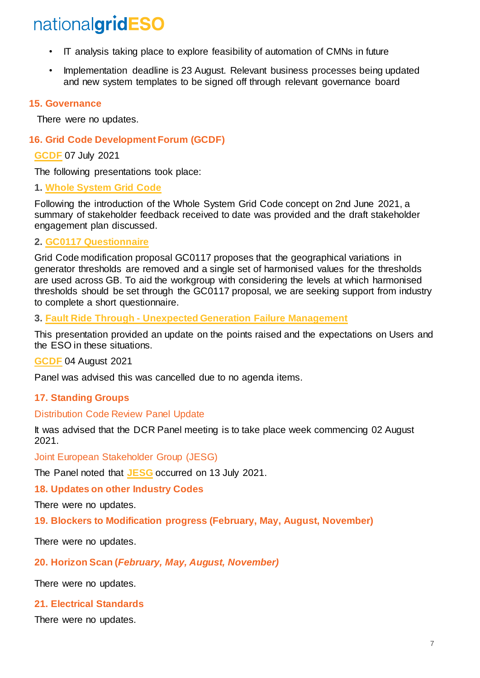- IT analysis taking place to explore feasibility of automation of CMNs in future
- Implementation deadline is 23 August. Relevant business processes being updated and new system templates to be signed off through relevant governance board

#### **15. Governance**

There were no updates.

#### **16. Grid Code Development Forum (GCDF)**

**[GCDF](https://www.nationalgrideso.com/document/197511/download)** 07 July 2021

The following presentations took place:

#### **1. [Whole System Grid Code](https://www.nationalgrideso.com/document/197521/download)**

Following the introduction of the Whole System Grid Code concept on 2nd June 2021, a summary of stakeholder feedback received to date was provided and the draft stakeholder engagement plan discussed.

#### **2. [GC0117](https://www.nationalgrideso.com/document/197526/download) [Questionnaire](https://www.nationalgrideso.com/document/197526/download)**

Grid Code modification proposal GC0117 proposes that the geographical variations in generator thresholds are removed and a single set of harmonised values for the thresholds are used across GB. To aid the workgroup with considering the levels at which harmonised thresholds should be set through the GC0117 proposal, we are seeking support from industry to complete a short questionnaire.

#### **3. Fault Ride Through - [Unexpected Generation Failure Management](https://www.nationalgrideso.com/document/197531/download)**

This presentation provided an update on the points raised and the expectations on Users and the ESO in these situations.

#### **[GCDF](https://www.nationalgrideso.com/industry-information/codes/grid-code-old/meetings/grid-code-development-forum-gcdf-04082021)** 04 August 2021

Panel was advised this was cancelled due to no agenda items.

#### **17. Standing Groups**

#### Distribution Code Review Panel Update

It was advised that the DCR Panel meeting is to take place week commencing 02 August 2021.

Joint European Stakeholder Group (JESG)

The Panel noted that **[JESG](https://www.nationalgrideso.com/document/192981/download)** occurred on 13 July 2021.

#### **18. Updates on other Industry Codes**

There were no updates.

**19. Blockers to Modification progress (February, May, August, November)**

There were no updates.

#### **20. Horizon Scan (***February, May, August, November)*

There were no updates.

#### **21. Electrical Standards**

There were no updates.